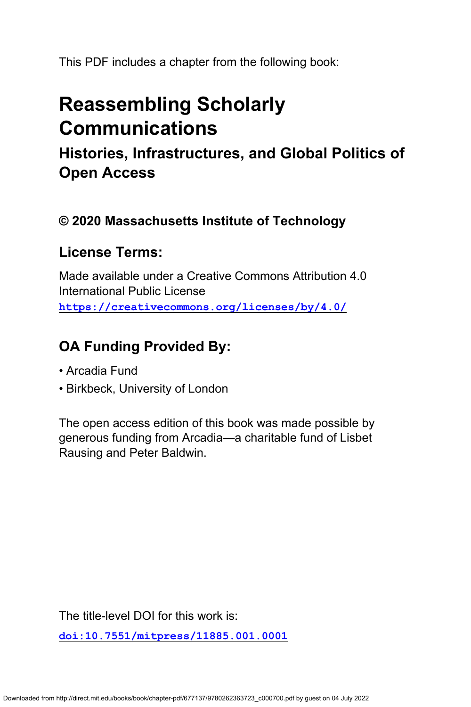This PDF includes a chapter from the following book:

# **Reassembling Scholarly Communications**

**Histories, Infrastructures, and Global Politics of Open Access**

## **© 2020 Massachusetts Institute of Technology**

## **License Terms:**

Made available under a Creative Commons Attribution 4.0 International Public License **<https://creativecommons.org/licenses/by/4.0/>**

# **OA Funding Provided By:**

- Arcadia Fund
- Birkbeck, University of London

The open access edition of this book was made possible by generous funding from Arcadia—a charitable fund of Lisbet Rausing and Peter Baldwin.

The title-level DOI for this work is:

**[doi:10.7551/mitpress/11885.001.0001](https://doi.org/10.7551/mitpress/11885.001.0001)**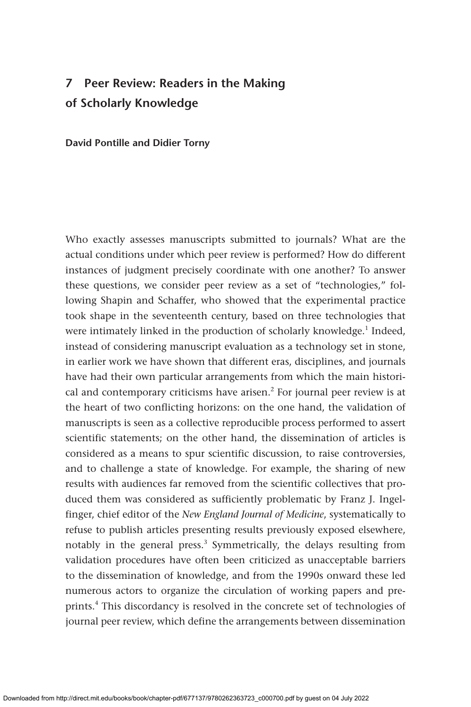### **7 Peer Review: Readers in the Making of Scholarly Knowledge**

**David Pontille and Didier Torny**

Who exactly assesses manuscripts submitted to journals? What are the actual conditions under which peer review is performed? How do different instances of judgment precisely coordinate with one another? To answer these questions, we consider peer review as a set of "technologies," following Shapin and Schaffer, who showed that the experimental practice took shape in the seventeenth century, based on three technologies that were intimately linked in the production of scholarly knowledge.<sup>1</sup> Indeed, instead of considering manuscript evaluation as a technology set in stone, in earlier work we have shown that different eras, disciplines, and journals have had their own particular arrangements from which the main historical and contemporary criticisms have arisen. $2$  For journal peer review is at the heart of two conflicting horizons: on the one hand, the validation of manuscripts is seen as a collective reproducible process performed to assert scientific statements; on the other hand, the dissemination of articles is considered as a means to spur scientific discussion, to raise controversies, and to challenge a state of knowledge. For example, the sharing of new results with audiences far removed from the scientific collectives that produced them was considered as sufficiently problematic by Franz J. Ingelfinger, chief editor of the *New England Journal of Medicine*, systematically to refuse to publish articles presenting results previously exposed elsewhere, notably in the general press.<sup>3</sup> Symmetrically, the delays resulting from validation procedures have often been criticized as unacceptable barriers to the dissemination of knowledge, and from the 1990s onward these led numerous actors to organize the circulation of working papers and preprints.<sup>4</sup> This discordancy is resolved in the concrete set of technologies of journal peer review, which define the arrangements between dissemination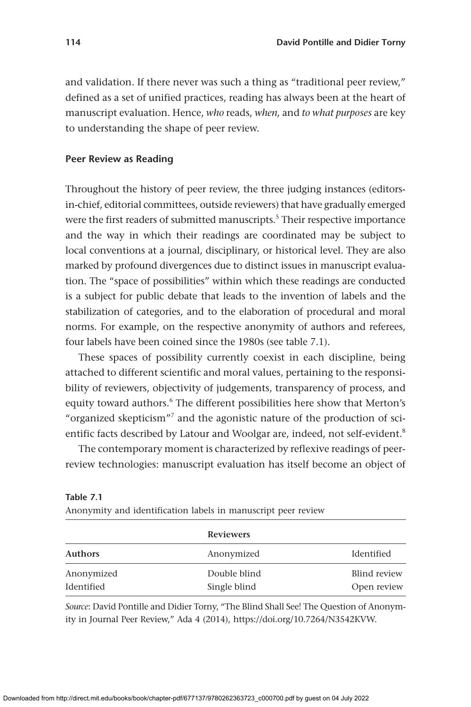and validation. If there never was such a thing as "traditional peer review," defined as a set of unified practices, reading has always been at the heart of manuscript evaluation. Hence, *who* reads, *when,* and *to what purposes* are key to understanding the shape of peer review.

#### **Peer Review as Reading**

Throughout the history of peer review, the three judging instances (editorsin-chief, editorial committees, outside reviewers) that have gradually emerged were the first readers of submitted manuscripts.<sup>5</sup> Their respective importance and the way in which their readings are coordinated may be subject to local conventions at a journal, disciplinary, or historical level. They are also marked by profound divergences due to distinct issues in manuscript evaluation. The "space of possibilities" within which these readings are conducted is a subject for public debate that leads to the invention of labels and the stabilization of categories, and to the elaboration of procedural and moral norms. For example, on the respective anonymity of authors and referees, four labels have been coined since the 1980s (see table 7.1).

These spaces of possibility currently coexist in each discipline, being attached to different scientific and moral values, pertaining to the responsibility of reviewers, objectivity of judgements, transparency of process, and equity toward authors.<sup>6</sup> The different possibilities here show that Merton's "organized skepticism"<sup>7</sup> and the agonistic nature of the production of scientific facts described by Latour and Woolgar are, indeed, not self-evident.<sup>8</sup>

The contemporary moment is characterized by reflexive readings of peerreview technologies: manuscript evaluation has itself become an object of

|                | <b>Reviewers</b> |              |
|----------------|------------------|--------------|
| <b>Authors</b> | Anonymized       | Identified   |
| Anonymized     | Double blind     | Blind review |
| Identified     | Single blind     | Open review  |

**Table 7.1** Anonymity and identification labels in manuscript peer review

*Source*: David Pontille and Didier Torny, "The Blind Shall See! The Question of Anonymity in Journal Peer Review," Ada 4 (2014), <https://doi.org/10.7264/N3542KVW>.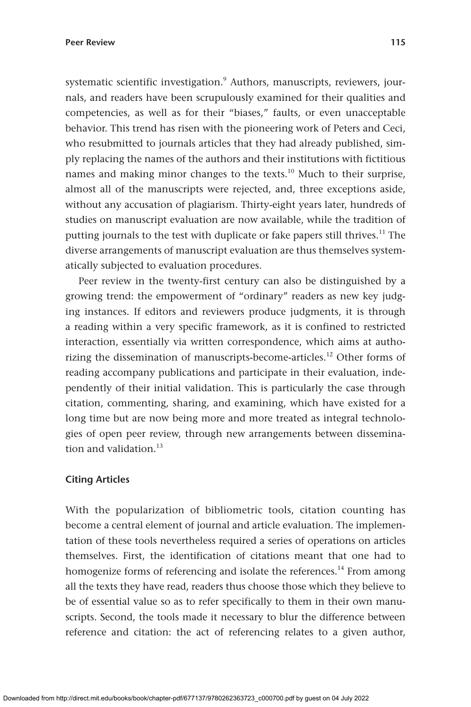systematic scientific investigation.<sup>9</sup> Authors, manuscripts, reviewers, journals, and readers have been scrupulously examined for their qualities and competencies, as well as for their "biases," faults, or even unacceptable behavior. This trend has risen with the pioneering work of Peters and Ceci, who resubmitted to journals articles that they had already published, simply replacing the names of the authors and their institutions with fictitious names and making minor changes to the texts.10 Much to their surprise, almost all of the manuscripts were rejected, and, three exceptions aside, without any accusation of plagiarism. Thirty-eight years later, hundreds of studies on manuscript evaluation are now available, while the tradition of putting journals to the test with duplicate or fake papers still thrives.<sup>11</sup> The diverse arrangements of manuscript evaluation are thus themselves systematically subjected to evaluation procedures.

Peer review in the twenty-first century can also be distinguished by a growing trend: the empowerment of "ordinary" readers as new key judging instances. If editors and reviewers produce judgments, it is through a reading within a very specific framework, as it is confined to restricted interaction, essentially via written correspondence, which aims at authorizing the dissemination of manuscripts-become-articles.<sup>12</sup> Other forms of reading accompany publications and participate in their evaluation, independently of their initial validation. This is particularly the case through citation, commenting, sharing, and examining, which have existed for a long time but are now being more and more treated as integral technologies of open peer review, through new arrangements between dissemination and validation.<sup>13</sup>

#### **Citing Articles**

With the popularization of bibliometric tools, citation counting has become a central element of journal and article evaluation. The implementation of these tools nevertheless required a series of operations on articles themselves. First, the identification of citations meant that one had to homogenize forms of referencing and isolate the references.<sup>14</sup> From among all the texts they have read, readers thus choose those which they believe to be of essential value so as to refer specifically to them in their own manuscripts. Second, the tools made it necessary to blur the difference between reference and citation: the act of referencing relates to a given author,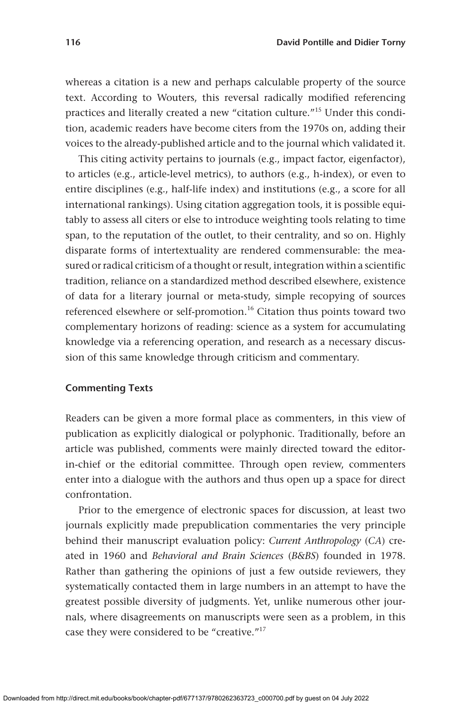whereas a citation is a new and perhaps calculable property of the source text. According to Wouters, this reversal radically modified referencing practices and literally created a new "citation culture."15 Under this condition, academic readers have become citers from the 1970s on, adding their voices to the already-published article and to the journal which validated it.

This citing activity pertains to journals (e.g., impact factor, eigenfactor), to articles (e.g., article-level metrics), to authors (e.g., h-index), or even to entire disciplines (e.g., half-life index) and institutions (e.g., a score for all international rankings). Using citation aggregation tools, it is possible equitably to assess all citers or else to introduce weighting tools relating to time span, to the reputation of the outlet, to their centrality, and so on. Highly disparate forms of intertextuality are rendered commensurable: the measured or radical criticism of a thought or result, integration within a scientific tradition, reliance on a standardized method described elsewhere, existence of data for a literary journal or meta-study, simple recopying of sources referenced elsewhere or self-promotion.<sup>16</sup> Citation thus points toward two complementary horizons of reading: science as a system for accumulating knowledge via a referencing operation, and research as a necessary discussion of this same knowledge through criticism and commentary.

### **Commenting Texts**

Readers can be given a more formal place as commenters, in this view of publication as explicitly dialogical or polyphonic. Traditionally, before an article was published, comments were mainly directed toward the editorin-chief or the editorial committee. Through open review, commenters enter into a dialogue with the authors and thus open up a space for direct confrontation.

Prior to the emergence of electronic spaces for discussion, at least two journals explicitly made prepublication commentaries the very principle behind their manuscript evaluation policy: *Current Anthropology* (*CA*) created in 1960 and *Behavioral and Brain Sciences* (*B&BS*) founded in 1978. Rather than gathering the opinions of just a few outside reviewers, they systematically contacted them in large numbers in an attempt to have the greatest possible diversity of judgments. Yet, unlike numerous other journals, where disagreements on manuscripts were seen as a problem, in this case they were considered to be "creative."17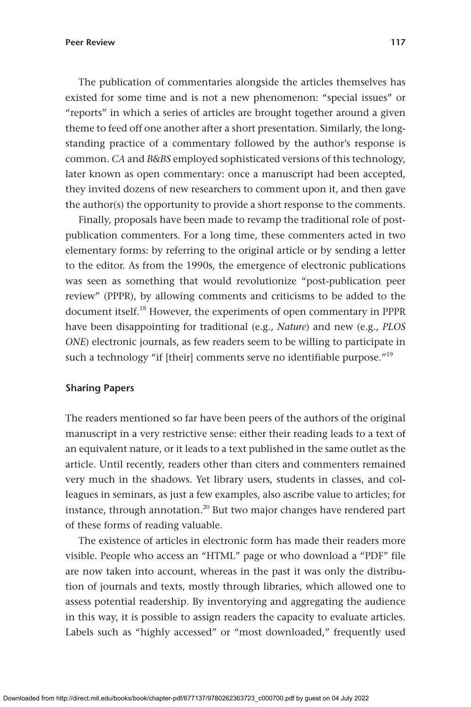The publication of commentaries alongside the articles themselves has existed for some time and is not a new phenomenon: "special issues" or "reports" in which a series of articles are brought together around a given theme to feed off one another after a short presentation. Similarly, the longstanding practice of a commentary followed by the author's response is common. *CA* and *B&BS* employed sophisticated versions of this technology, later known as open commentary: once a manuscript had been accepted, they invited dozens of new researchers to comment upon it, and then gave the author(s) the opportunity to provide a short response to the comments.

Finally, proposals have been made to revamp the traditional role of postpublication commenters. For a long time, these commenters acted in two elementary forms: by referring to the original article or by sending a letter to the editor. As from the 1990s, the emergence of electronic publications was seen as something that would revolutionize "post-publication peer review" (PPPR), by allowing comments and criticisms to be added to the document itself.18 However, the experiments of open commentary in PPPR have been disappointing for traditional (e.g., *Nature*) and new (e.g., *PLOS ONE*) electronic journals, as few readers seem to be willing to participate in such a technology "if [their] comments serve no identifiable purpose."<sup>19</sup>

#### **Sharing Papers**

The readers mentioned so far have been peers of the authors of the original manuscript in a very restrictive sense: either their reading leads to a text of an equivalent nature, or it leads to a text published in the same outlet as the article. Until recently, readers other than citers and commenters remained very much in the shadows. Yet library users, students in classes, and colleagues in seminars, as just a few examples, also ascribe value to articles; for instance, through annotation.<sup>20</sup> But two major changes have rendered part of these forms of reading valuable.

The existence of articles in electronic form has made their readers more visible. People who access an "HTML" page or who download a "PDF" file are now taken into account, whereas in the past it was only the distribution of journals and texts, mostly through libraries, which allowed one to assess potential readership. By inventorying and aggregating the audience in this way, it is possible to assign readers the capacity to evaluate articles. Labels such as "highly accessed" or "most downloaded," frequently used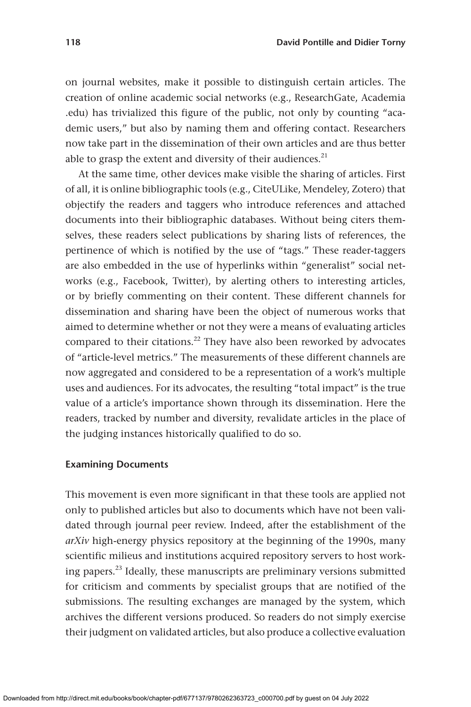on journal websites, make it possible to distinguish certain articles. The creation of online academic social networks (e.g., ResearchGate, Academia .edu) has trivialized this figure of the public, not only by counting "academic users," but also by naming them and offering contact. Researchers now take part in the dissemination of their own articles and are thus better able to grasp the extent and diversity of their audiences. $21$ 

At the same time, other devices make visible the sharing of articles. First of all, it is online bibliographic tools (e.g., CiteULike, Mendeley, Zotero) that objectify the readers and taggers who introduce references and attached documents into their bibliographic databases. Without being citers themselves, these readers select publications by sharing lists of references, the pertinence of which is notified by the use of "tags." These reader-taggers are also embedded in the use of hyperlinks within "generalist" social networks (e.g., Facebook, Twitter), by alerting others to interesting articles, or by briefly commenting on their content. These different channels for dissemination and sharing have been the object of numerous works that aimed to determine whether or not they were a means of evaluating articles compared to their citations.<sup>22</sup> They have also been reworked by advocates of "article-level metrics." The measurements of these different channels are now aggregated and considered to be a representation of a work's multiple uses and audiences. For its advocates, the resulting "total impact" is the true value of a article's importance shown through its dissemination. Here the readers, tracked by number and diversity, revalidate articles in the place of the judging instances historically qualified to do so.

#### **Examining Documents**

This movement is even more significant in that these tools are applied not only to published articles but also to documents which have not been validated through journal peer review. Indeed, after the establishment of the *arXiv* high-energy physics repository at the beginning of the 1990s, many scientific milieus and institutions acquired repository servers to host working papers.23 Ideally, these manuscripts are preliminary versions submitted for criticism and comments by specialist groups that are notified of the submissions. The resulting exchanges are managed by the system, which archives the different versions produced. So readers do not simply exercise their judgment on validated articles, but also produce a collective evaluation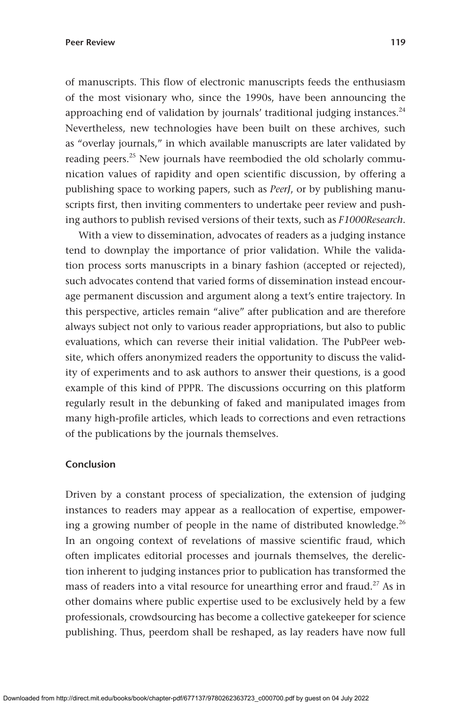of manuscripts. This flow of electronic manuscripts feeds the enthusiasm of the most visionary who, since the 1990s, have been announcing the approaching end of validation by journals' traditional judging instances. $24$ Nevertheless, new technologies have been built on these archives, such as "overlay journals," in which available manuscripts are later validated by reading peers.<sup>25</sup> New journals have reembodied the old scholarly communication values of rapidity and open scientific discussion, by offering a publishing space to working papers, such as *PeerJ*, or by publishing manuscripts first, then inviting commenters to undertake peer review and pushing authors to publish revised versions of their texts, such as *F1000Research*.

With a view to dissemination, advocates of readers as a judging instance tend to downplay the importance of prior validation. While the validation process sorts manuscripts in a binary fashion (accepted or rejected), such advocates contend that varied forms of dissemination instead encourage permanent discussion and argument along a text's entire trajectory. In this perspective, articles remain "alive" after publication and are therefore always subject not only to various reader appropriations, but also to public evaluations, which can reverse their initial validation. The PubPeer website, which offers anonymized readers the opportunity to discuss the validity of experiments and to ask authors to answer their questions, is a good example of this kind of PPPR. The discussions occurring on this platform regularly result in the debunking of faked and manipulated images from many high-profile articles, which leads to corrections and even retractions of the publications by the journals themselves.

### **Conclusion**

Driven by a constant process of specialization, the extension of judging instances to readers may appear as a reallocation of expertise, empowering a growing number of people in the name of distributed knowledge.<sup>26</sup> In an ongoing context of revelations of massive scientific fraud, which often implicates editorial processes and journals themselves, the dereliction inherent to judging instances prior to publication has transformed the mass of readers into a vital resource for unearthing error and fraud.<sup>27</sup> As in other domains where public expertise used to be exclusively held by a few professionals, crowdsourcing has become a collective gatekeeper for science publishing. Thus, peerdom shall be reshaped, as lay readers have now full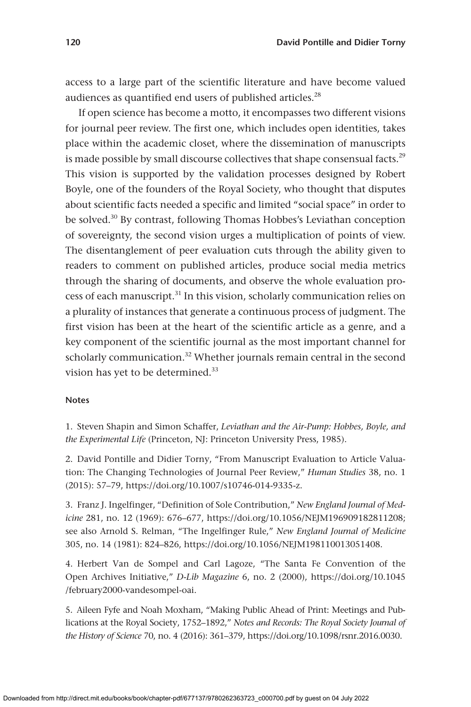access to a large part of the scientific literature and have become valued audiences as quantified end users of published articles.<sup>28</sup>

If open science has become a motto, it encompasses two different visions for journal peer review. The first one, which includes open identities, takes place within the academic closet, where the dissemination of manuscripts is made possible by small discourse collectives that shape consensual facts.<sup>29</sup> This vision is supported by the validation processes designed by Robert Boyle, one of the founders of the Royal Society, who thought that disputes about scientific facts needed a specific and limited "social space" in order to be solved.30 By contrast, following Thomas Hobbes's Leviathan conception of sovereignty, the second vision urges a multiplication of points of view. The disentanglement of peer evaluation cuts through the ability given to readers to comment on published articles, produce social media metrics through the sharing of documents, and observe the whole evaluation process of each manuscript.31 In this vision, scholarly communication relies on a plurality of instances that generate a continuous process of judgment. The first vision has been at the heart of the scientific article as a genre, and a key component of the scientific journal as the most important channel for scholarly communication.<sup>32</sup> Whether journals remain central in the second vision has yet to be determined.<sup>33</sup>

#### **Notes**

1. Steven Shapin and Simon Schaffer, *Leviathan and the Air-Pump: Hobbes, Boyle, and the Experimental Life* (Princeton, NJ: Princeton University Press, 1985).

2. David Pontille and Didier Torny, "From Manuscript Evaluation to Article Valuation: The Changing Technologies of Journal Peer Review," *Human Studies* 38, no. 1 (2015): 57–79,<https://doi.org/10.1007/s10746-014-9335-z>.

3. Franz J. Ingelfinger, "Definition of Sole Contribution," *New England Journal of Medicine* 281, no. 12 (1969): 676–677, [https://doi.org/10.1056/NEJM196909182811208;](https://doi.org/10.1056/NEJM196909182811208) see also Arnold S. Relman, "The Ingelfinger Rule," *New England Journal of Medicine* 305, no. 14 (1981): 824–826, [https://doi.org/10.1056/NEJM198110013051408.](https://doi.org/10.1056/NEJM198110013051408)

4. Herbert Van de Sompel and Carl Lagoze, "The Santa Fe Convention of the Open Archives Initiative," *D-Lib Magazine* 6, no. 2 (2000), [https://doi.org/10.1045](https://doi.org/10.1045/february2000-vandesompel-oai) [/february2000-vandesompel-oai](https://doi.org/10.1045/february2000-vandesompel-oai).

5. Aileen Fyfe and Noah Moxham, "Making Public Ahead of Print: Meetings and Publications at the Royal Society, 1752–1892," *Notes and Records: The Royal Society Journal of the History of Science* 70, no. 4 (2016): 361–379, [https://doi.org/10.1098/rsnr.2016.0030.](https://doi.org/10.1098/rsnr.2016.0030)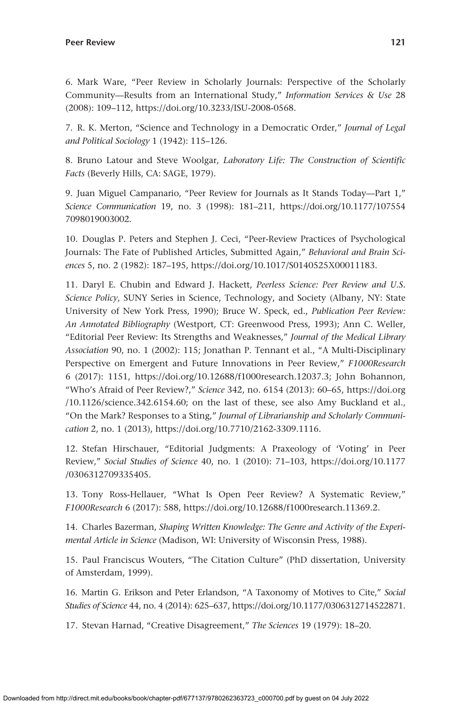6. Mark Ware, "Peer Review in Scholarly Journals: Perspective of the Scholarly Community—Results from an International Study," *Information Services & Use* 28 (2008): 109–112,<https://doi.org/10.3233/ISU-2008-0568>.

7. R. K. Merton, "Science and Technology in a Democratic Order," *Journal of Legal and Political Sociology* 1 (1942): 115–126.

8. Bruno Latour and Steve Woolgar, *Laboratory Life: The Construction of Scientific Facts* (Beverly Hills, CA: SAGE, 1979).

9. Juan Miguel Campanario, "Peer Review for Journals as It Stands Today—Part 1," *Science Communication* 19, no. 3 (1998): 181–211, [https://doi.org/10.1177/107554](https://doi.org/10.1177/1075547098019003002) [7098019003002](https://doi.org/10.1177/1075547098019003002).

10. Douglas P. Peters and Stephen J. Ceci, "Peer-Review Practices of Psychological Journals: The Fate of Published Articles, Submitted Again," *Behavioral and Brain Sciences* 5, no. 2 (1982): 187–195, [https://doi.org/10.1017/S0140525X00011183.](https://doi.org/10.1017/S0140525X00011183)

11. Daryl E. Chubin and Edward J. Hackett, *Peerless Science: Peer Review and U.S. Science Policy*, SUNY Series in Science, Technology, and Society (Albany, NY: State University of New York Press, 1990); Bruce W. Speck, ed., *Publication Peer Review: An Annotated Bibliography* (Westport, CT: Greenwood Press, 1993); Ann C. Weller, "Editorial Peer Review: Its Strengths and Weaknesses," *Journal of the Medical Library Association* 90, no. 1 (2002): 115; Jonathan P. Tennant et al., "A Multi-Disciplinary Perspective on Emergent and Future Innovations in Peer Review," *F1000Research* 6 (2017): 1151, [https://doi.org/10.12688/f1000research.12037.3;](https://doi.org/10.12688/f1000research.12037.3) John Bohannon, "Who's Afraid of Peer Review?," *Science* 342, no. 6154 (2013): 60–65, [https://doi.org](https://doi.org/10.1126/science.342.6154.60) [/10.1126/science.342.6154.60;](https://doi.org/10.1126/science.342.6154.60) on the last of these, see also Amy Buckland et al., "On the Mark? Responses to a Sting," *Journal of Librarianship and Scholarly Communication* 2, no. 1 (2013),<https://doi.org/10.7710/2162-3309.1116>.

12. Stefan Hirschauer, "Editorial Judgments: A Praxeology of 'Voting' in Peer Review," *Social Studies of Science* 40, no. 1 (2010): 71–103, [https://doi.org/10.1177](https://doi.org/10.1177/0306312709335405) [/0306312709335405](https://doi.org/10.1177/0306312709335405).

13. Tony Ross-Hellauer, "What Is Open Peer Review? A Systematic Review," *F1000Research* 6 (2017): 588,<https://doi.org/10.12688/f1000research.11369.2>.

14. Charles Bazerman, *Shaping Written Knowledge: The Genre and Activity of the Experimental Article in Science* (Madison, WI: University of Wisconsin Press, 1988).

15. Paul Franciscus Wouters, "The Citation Culture" (PhD dissertation, University of Amsterdam, 1999).

16. Martin G. Erikson and Peter Erlandson, "A Taxonomy of Motives to Cite," *Social Studies of Science* 44, no. 4 (2014): 625–637, [https://doi.org/10.1177/0306312714522871.](https://doi.org/10.1177/0306312714522871)

17. Stevan Harnad, "Creative Disagreement," *The Sciences* 19 (1979): 18–20.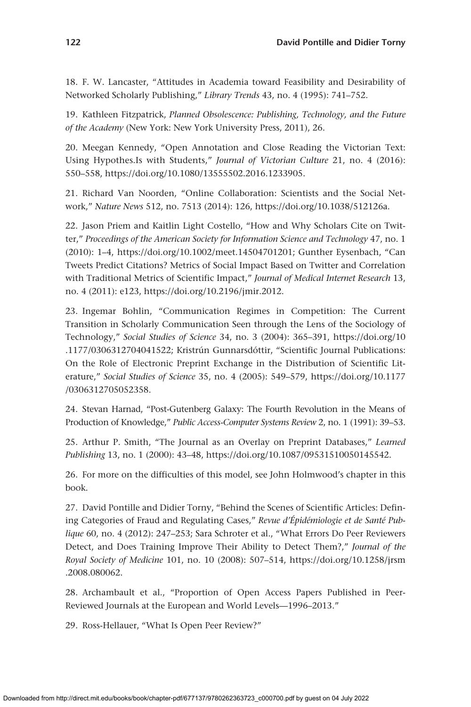18. F. W. Lancaster, "Attitudes in Academia toward Feasibility and Desirability of Networked Scholarly Publishing," *Library Trends* 43, no. 4 (1995): 741–752.

19. Kathleen Fitzpatrick, *Planned Obsolescence: Publishing, Technology, and the Future of the Academy* (New York: New York University Press, 2011), 26.

20. Meegan Kennedy, "Open Annotation and Close Reading the Victorian Text: Using Hypothes.Is with Students," *Journal of Victorian Culture* 21, no. 4 (2016): 550–558, [https://doi.org/10.1080/13555502.2016.1233905.](https://doi.org/10.1080/13555502.2016.1233905)

21. Richard Van Noorden, "Online Collaboration: Scientists and the Social Network," *Nature News* 512, no. 7513 (2014): 126, <https://doi.org/10.1038/512126a>.

22. Jason Priem and Kaitlin Light Costello, "How and Why Scholars Cite on Twitter," *Proceedings of the American Society for Information Science and Technology* 47, no. 1 (2010): 1–4, <https://doi.org/10.1002/meet.14504701201>; Gunther Eysenbach, "Can Tweets Predict Citations? Metrics of Social Impact Based on Twitter and Correlation with Traditional Metrics of Scientific Impact," *Journal of Medical Internet Research* 13, no. 4 (2011): e123,<https://doi.org/10.2196/jmir.2012>.

23. Ingemar Bohlin, "Communication Regimes in Competition: The Current Transition in Scholarly Communication Seen through the Lens of the Sociology of Technology," *Social Studies of Science* 34, no. 3 (2004): 365–391, [https://doi.org/10](https://doi.org/10.1177/0306312704041522) [.1177/0306312704041522;](https://doi.org/10.1177/0306312704041522) Kristrún Gunnarsdóttir, "Scientific Journal Publications: On the Role of Electronic Preprint Exchange in the Distribution of Scientific Literature," *Social Studies of Science* 35, no. 4 (2005): 549–579, [https://doi.org/10.1177](https://doi.org/10.1177/0306312705052358) [/0306312705052358](https://doi.org/10.1177/0306312705052358).

24. Stevan Harnad, "Post-Gutenberg Galaxy: The Fourth Revolution in the Means of Production of Knowledge," *Public Access-Computer Systems Review* 2, no. 1 (1991): 39–53.

25. Arthur P. Smith, "The Journal as an Overlay on Preprint Databases," *Learned Publishing* 13, no. 1 (2000): 43–48, [https://doi.org/10.1087/09531510050145542.](https://doi.org/10.1087/09531510050145542)

26. For more on the difficulties of this model, see John Holmwood's chapter in this book.

27. David Pontille and Didier Torny, "Behind the Scenes of Scientific Articles: Defining Categories of Fraud and Regulating Cases," *Revue d'Épidémiologie et de Santé Publique* 60, no. 4 (2012): 247–253; Sara Schroter et al., "What Errors Do Peer Reviewers Detect, and Does Training Improve Their Ability to Detect Them?," *Journal of the Royal Society of Medicine* 101, no. 10 (2008): 507–514, [https://doi.org/10.1258/jrsm](https://doi.org/10.1258/jrsm.2008.080062) [.2008.080062](https://doi.org/10.1258/jrsm.2008.080062).

28. Archambault et al., "Proportion of Open Access Papers Published in Peer-Reviewed Journals at the European and World Levels—1996–2013."

29. Ross-Hellauer, "What Is Open Peer Review?"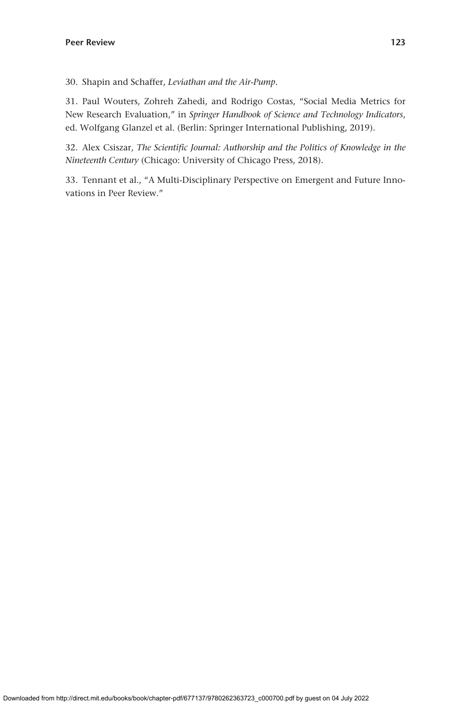30. Shapin and Schaffer, *Leviathan and the Air-Pump*.

31. Paul Wouters, Zohreh Zahedi, and Rodrigo Costas, "Social Media Metrics for New Research Evaluation," in *Springer Handbook of Science and Technology Indicators*, ed. Wolfgang Glanzel et al. (Berlin: Springer International Publishing, 2019).

32. Alex Csiszar, *The Scientific Journal: Authorship and the Politics of Knowledge in the Nineteenth Century* (Chicago: University of Chicago Press, 2018).

33. Tennant et al., "A Multi-Disciplinary Perspective on Emergent and Future Innovations in Peer Review."